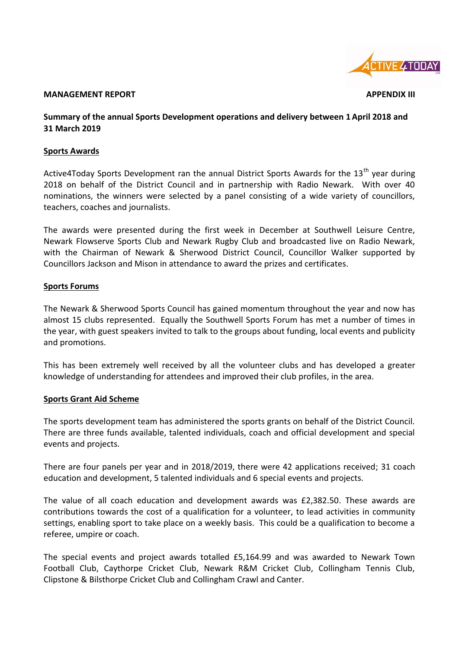

#### **MANAGEMENT REPORT APPENDIX III**

## **Summary of the annual Sports Development operations and delivery between 1 April 2018 and 31 March 2019**

### **Sports Awards**

Active4Today Sports Development ran the annual District Sports Awards for the  $13<sup>th</sup>$  year during 2018 on behalf of the District Council and in partnership with Radio Newark. With over 40 nominations, the winners were selected by a panel consisting of a wide variety of councillors, teachers, coaches and journalists.

The awards were presented during the first week in December at Southwell Leisure Centre, Newark Flowserve Sports Club and Newark Rugby Club and broadcasted live on Radio Newark, with the Chairman of Newark & Sherwood District Council, Councillor Walker supported by Councillors Jackson and Mison in attendance to award the prizes and certificates.

### **Sports Forums**

The Newark & Sherwood Sports Council has gained momentum throughout the year and now has almost 15 clubs represented. Equally the Southwell Sports Forum has met a number of times in the year, with guest speakers invited to talk to the groups about funding, local events and publicity and promotions.

This has been extremely well received by all the volunteer clubs and has developed a greater knowledge of understanding for attendees and improved their club profiles, in the area.

#### **Sports Grant Aid Scheme**

The sports development team has administered the sports grants on behalf of the District Council. There are three funds available, talented individuals, coach and official development and special events and projects.

There are four panels per year and in 2018/2019, there were 42 applications received; 31 coach education and development, 5 talented individuals and 6 special events and projects.

The value of all coach education and development awards was £2,382.50. These awards are contributions towards the cost of a qualification for a volunteer, to lead activities in community settings, enabling sport to take place on a weekly basis. This could be a qualification to become a referee, umpire or coach.

The special events and project awards totalled £5,164.99 and was awarded to Newark Town Football Club, Caythorpe Cricket Club, Newark R&M Cricket Club, Collingham Tennis Club, Clipstone & Bilsthorpe Cricket Club and Collingham Crawl and Canter.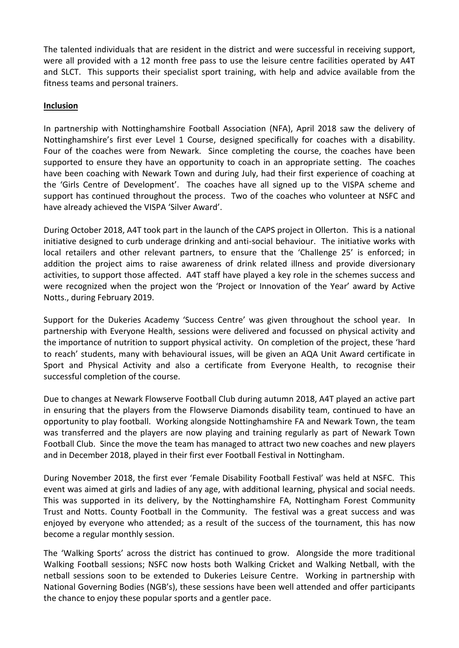The talented individuals that are resident in the district and were successful in receiving support, were all provided with a 12 month free pass to use the leisure centre facilities operated by A4T and SLCT. This supports their specialist sport training, with help and advice available from the fitness teams and personal trainers.

## **Inclusion**

In partnership with Nottinghamshire Football Association (NFA), April 2018 saw the delivery of Nottinghamshire's first ever Level 1 Course, designed specifically for coaches with a disability. Four of the coaches were from Newark. Since completing the course, the coaches have been supported to ensure they have an opportunity to coach in an appropriate setting. The coaches have been coaching with Newark Town and during July, had their first experience of coaching at the 'Girls Centre of Development'. The coaches have all signed up to the VISPA scheme and support has continued throughout the process. Two of the coaches who volunteer at NSFC and have already achieved the VISPA 'Silver Award'.

During October 2018, A4T took part in the launch of the CAPS project in Ollerton. This is a national initiative designed to curb underage drinking and anti-social behaviour. The initiative works with local retailers and other relevant partners, to ensure that the 'Challenge 25' is enforced; in addition the project aims to raise awareness of drink related illness and provide diversionary activities, to support those affected. A4T staff have played a key role in the schemes success and were recognized when the project won the 'Project or Innovation of the Year' award by Active Notts., during February 2019.

Support for the Dukeries Academy 'Success Centre' was given throughout the school year. In partnership with Everyone Health, sessions were delivered and focussed on physical activity and the importance of nutrition to support physical activity. On completion of the project, these 'hard to reach' students, many with behavioural issues, will be given an AQA Unit Award certificate in Sport and Physical Activity and also a certificate from Everyone Health, to recognise their successful completion of the course.

Due to changes at Newark Flowserve Football Club during autumn 2018, A4T played an active part in ensuring that the players from the Flowserve Diamonds disability team, continued to have an opportunity to play football. Working alongside Nottinghamshire FA and Newark Town, the team was transferred and the players are now playing and training regularly as part of Newark Town Football Club. Since the move the team has managed to attract two new coaches and new players and in December 2018, played in their first ever Football Festival in Nottingham.

During November 2018, the first ever 'Female Disability Football Festival' was held at NSFC. This event was aimed at girls and ladies of any age, with additional learning, physical and social needs. This was supported in its delivery, by the Nottinghamshire FA, Nottingham Forest Community Trust and Notts. County Football in the Community. The festival was a great success and was enjoyed by everyone who attended; as a result of the success of the tournament, this has now become a regular monthly session.

The 'Walking Sports' across the district has continued to grow. Alongside the more traditional Walking Football sessions; NSFC now hosts both Walking Cricket and Walking Netball, with the netball sessions soon to be extended to Dukeries Leisure Centre. Working in partnership with National Governing Bodies (NGB's), these sessions have been well attended and offer participants the chance to enjoy these popular sports and a gentler pace.